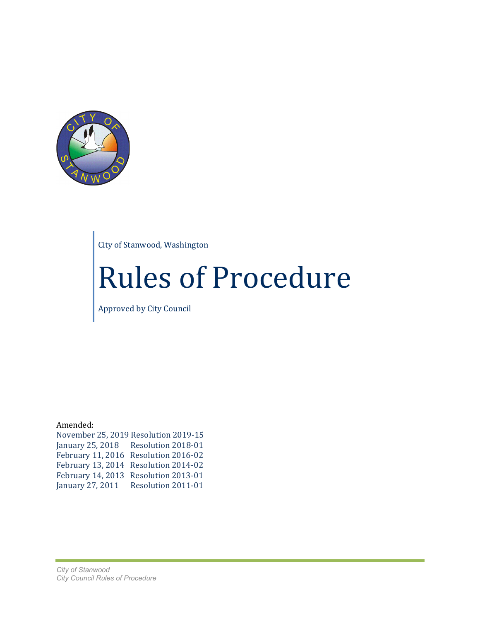

City of Stanwood, Washington

# Rules of Procedure

Approved by City Council

Amended:

|                  | November 25, 2019 Resolution 2019-15 |
|------------------|--------------------------------------|
|                  | January 25, 2018 Resolution 2018-01  |
|                  | February 11, 2016 Resolution 2016-02 |
|                  | February 13, 2014 Resolution 2014-02 |
|                  | February 14, 2013 Resolution 2013-01 |
| January 27, 2011 | Resolution 2011-01                   |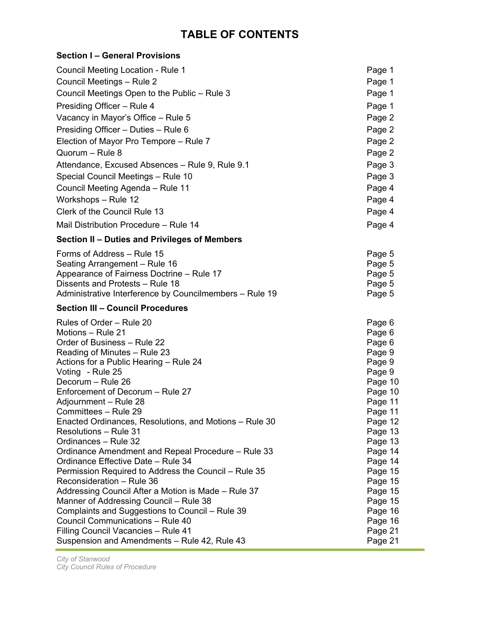## **TABLE OF CONTENTS**

| Section I – General Provisions                                                    |                    |
|-----------------------------------------------------------------------------------|--------------------|
| Council Meeting Location - Rule 1                                                 | Page 1             |
| Council Meetings - Rule 2                                                         | Page 1             |
| Council Meetings Open to the Public – Rule 3                                      | Page 1             |
| Presiding Officer - Rule 4                                                        | Page 1             |
| Vacancy in Mayor's Office – Rule 5                                                | Page 2             |
| Presiding Officer - Duties - Rule 6                                               | Page 2             |
| Election of Mayor Pro Tempore - Rule 7                                            | Page 2             |
| Quorum - Rule 8                                                                   | Page 2             |
| Attendance, Excused Absences – Rule 9, Rule 9.1                                   | Page 3             |
| Special Council Meetings – Rule 10                                                | Page 3             |
| Council Meeting Agenda – Rule 11                                                  | Page 4             |
| Workshops - Rule 12                                                               | Page 4             |
| Clerk of the Council Rule 13                                                      | Page 4             |
|                                                                                   |                    |
| Mail Distribution Procedure - Rule 14                                             | Page 4             |
| Section II – Duties and Privileges of Members                                     |                    |
| Forms of Address - Rule 15                                                        | Page 5             |
| Seating Arrangement – Rule 16                                                     | Page 5             |
| Appearance of Fairness Doctrine – Rule 17                                         | Page 5             |
| Dissents and Protests - Rule 18                                                   | Page 5             |
| Administrative Interference by Councilmembers – Rule 19                           | Page 5             |
| <b>Section III - Council Procedures</b>                                           |                    |
| Rules of Order – Rule 20                                                          | Page 6             |
| Motions – Rule 21                                                                 | Page 6             |
| Order of Business - Rule 22                                                       | Page 6             |
| Reading of Minutes – Rule 23                                                      | Page 9             |
| Actions for a Public Hearing – Rule 24                                            | Page 9             |
| Voting - Rule 25                                                                  | Page 9             |
| Decorum - Rule 26                                                                 | Page 10            |
| Enforcement of Decorum - Rule 27                                                  | Page 10            |
| Adjournment – Rule 28                                                             | Page 11            |
| Committees - Rule 29                                                              | Page 11            |
| Enacted Ordinances, Resolutions, and Motions – Rule 30                            | Page 12            |
| <b>Resolutions – Rule 31</b>                                                      | Page 13            |
| Ordinances - Rule 32                                                              | Page 13            |
| Ordinance Amendment and Repeal Procedure - Rule 33                                | Page 14            |
| Ordinance Effective Date - Rule 34                                                | Page 14            |
| Permission Required to Address the Council - Rule 35<br>Reconsideration - Rule 36 | Page 15            |
| Addressing Council After a Motion is Made - Rule 37                               | Page 15            |
| Manner of Addressing Council – Rule 38                                            | Page 15<br>Page 15 |
| Complaints and Suggestions to Council - Rule 39                                   |                    |
| Council Communications - Rule 40                                                  | Page 16<br>Page 16 |
| Filling Council Vacancies - Rule 41                                               | Page 21            |
| Suspension and Amendments - Rule 42, Rule 43                                      | Page 21            |
|                                                                                   |                    |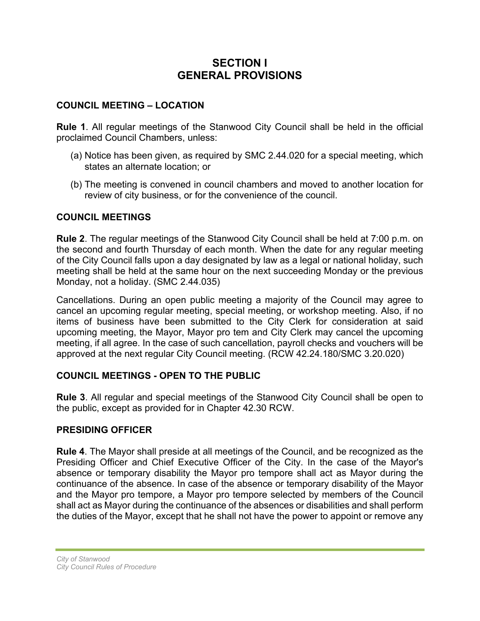## **SECTION I GENERAL PROVISIONS**

#### **COUNCIL MEETING – LOCATION**

**Rule 1**. All regular meetings of the Stanwood City Council shall be held in the official proclaimed Council Chambers, unless:

- (a) Notice has been given, as required by SMC 2.44.020 for a special meeting, which states an alternate location; or
- (b) The meeting is convened in council chambers and moved to another location for review of city business, or for the convenience of the council.

#### **COUNCIL MEETINGS**

**Rule 2**. The regular meetings of the Stanwood City Council shall be held at 7:00 p.m. on the second and fourth Thursday of each month. When the date for any regular meeting of the City Council falls upon a day designated by law as a legal or national holiday, such meeting shall be held at the same hour on the next succeeding Monday or the previous Monday, not a holiday. (SMC 2.44.035)

Cancellations. During an open public meeting a majority of the Council may agree to cancel an upcoming regular meeting, special meeting, or workshop meeting. Also, if no items of business have been submitted to the City Clerk for consideration at said upcoming meeting, the Mayor, Mayor pro tem and City Clerk may cancel the upcoming meeting, if all agree. In the case of such cancellation, payroll checks and vouchers will be approved at the next regular City Council meeting. (RCW 42.24.180/SMC 3.20.020)

#### **COUNCIL MEETINGS - OPEN TO THE PUBLIC**

**Rule 3**. All regular and special meetings of the Stanwood City Council shall be open to the public, except as provided for in Chapter 42.30 RCW.

#### **PRESIDING OFFICER**

**Rule 4**. The Mayor shall preside at all meetings of the Council, and be recognized as the Presiding Officer and Chief Executive Officer of the City. In the case of the Mayor's absence or temporary disability the Mayor pro tempore shall act as Mayor during the continuance of the absence. In case of the absence or temporary disability of the Mayor and the Mayor pro tempore, a Mayor pro tempore selected by members of the Council shall act as Mayor during the continuance of the absences or disabilities and shall perform the duties of the Mayor, except that he shall not have the power to appoint or remove any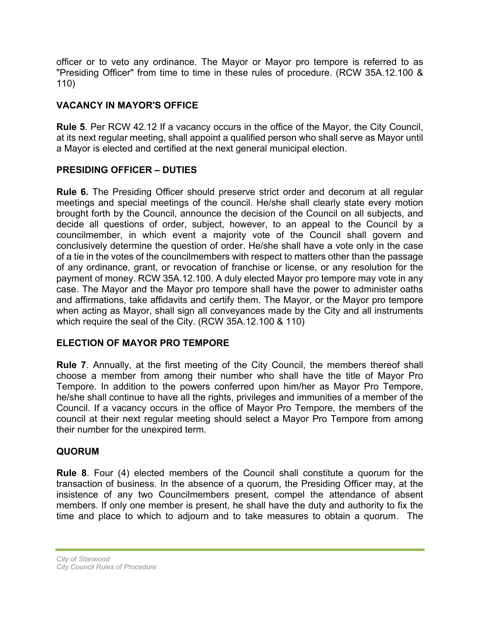officer or to veto any ordinance. The Mayor or Mayor pro tempore is referred to as "Presiding Officer" from time to time in these rules of procedure. (RCW 35A.12.100 & 110)

## **VACANCY IN MAYOR'S OFFICE**

**Rule 5**. Per RCW 42.12 If a vacancy occurs in the office of the Mayor, the City Council, at its next regular meeting, shall appoint a qualified person who shall serve as Mayor until a Mayor is elected and certified at the next general municipal election.

## **PRESIDING OFFICER – DUTIES**

**Rule 6.** The Presiding Officer should preserve strict order and decorum at all regular meetings and special meetings of the council. He/she shall clearly state every motion brought forth by the Council, announce the decision of the Council on all subjects, and decide all questions of order, subject, however, to an appeal to the Council by a councilmember, in which event a majority vote of the Council shall govern and conclusively determine the question of order. He/she shall have a vote only in the case of a tie in the votes of the councilmembers with respect to matters other than the passage of any ordinance, grant, or revocation of franchise or license, or any resolution for the payment of money. RCW 35A.12.100. A duly elected Mayor pro tempore may vote in any case. The Mayor and the Mayor pro tempore shall have the power to administer oaths and affirmations, take affidavits and certify them. The Mayor, or the Mayor pro tempore when acting as Mayor, shall sign all conveyances made by the City and all instruments which require the seal of the City. (RCW 35A.12.100 & 110)

## **ELECTION OF MAYOR PRO TEMPORE**

**Rule 7**. Annually, at the first meeting of the City Council, the members thereof shall choose a member from among their number who shall have the title of Mayor Pro Tempore. In addition to the powers conferred upon him/her as Mayor Pro Tempore, he/she shall continue to have all the rights, privileges and immunities of a member of the Council. If a vacancy occurs in the office of Mayor Pro Tempore, the members of the council at their next regular meeting should select a Mayor Pro Tempore from among their number for the unexpired term.

## **QUORUM**

**Rule 8**. Four (4) elected members of the Council shall constitute a quorum for the transaction of business. In the absence of a quorum, the Presiding Officer may, at the insistence of any two Councilmembers present, compel the attendance of absent members. If only one member is present, he shall have the duty and authority to fix the time and place to which to adjourn and to take measures to obtain a quorum. The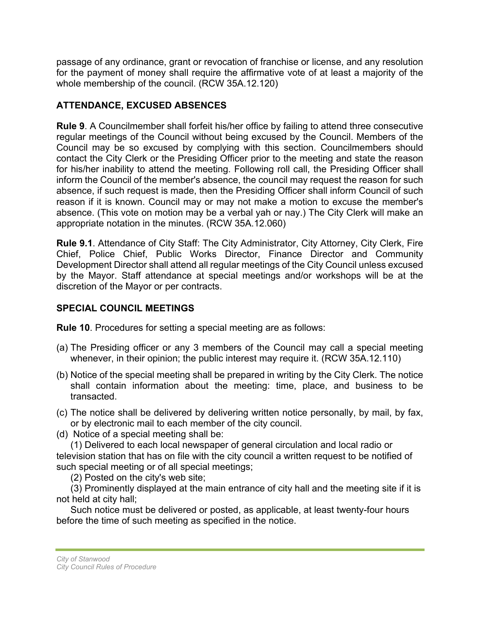passage of any ordinance, grant or revocation of franchise or license, and any resolution for the payment of money shall require the affirmative vote of at least a majority of the whole membership of the council. (RCW 35A.12.120)

## **ATTENDANCE, EXCUSED ABSENCES**

**Rule 9**. A Councilmember shall forfeit his/her office by failing to attend three consecutive regular meetings of the Council without being excused by the Council. Members of the Council may be so excused by complying with this section. Councilmembers should contact the City Clerk or the Presiding Officer prior to the meeting and state the reason for his/her inability to attend the meeting. Following roll call, the Presiding Officer shall inform the Council of the member's absence, the council may request the reason for such absence, if such request is made, then the Presiding Officer shall inform Council of such reason if it is known. Council may or may not make a motion to excuse the member's absence. (This vote on motion may be a verbal yah or nay.) The City Clerk will make an appropriate notation in the minutes. (RCW 35A.12.060)

**Rule 9.1**. Attendance of City Staff: The City Administrator, City Attorney, City Clerk, Fire Chief, Police Chief, Public Works Director, Finance Director and Community Development Director shall attend all regular meetings of the City Council unless excused by the Mayor. Staff attendance at special meetings and/or workshops will be at the discretion of the Mayor or per contracts.

## **SPECIAL COUNCIL MEETINGS**

**Rule 10**. Procedures for setting a special meeting are as follows:

- (a) The Presiding officer or any 3 members of the Council may call a special meeting whenever, in their opinion; the public interest may require it. (RCW 35A.12.110)
- (b) Notice of the special meeting shall be prepared in writing by the City Clerk. The notice shall contain information about the meeting: time, place, and business to be transacted.
- (c) The notice shall be delivered by delivering written notice personally, by mail, by fax, or by electronic mail to each member of the city council.
- (d) Notice of a special meeting shall be:

(1) Delivered to each local newspaper of general circulation and local radio or television station that has on file with the city council a written request to be notified of such special meeting or of all special meetings;

(2) Posted on the city's web site;

(3) Prominently displayed at the main entrance of city hall and the meeting site if it is not held at city hall;

Such notice must be delivered or posted, as applicable, at least twenty-four hours before the time of such meeting as specified in the notice.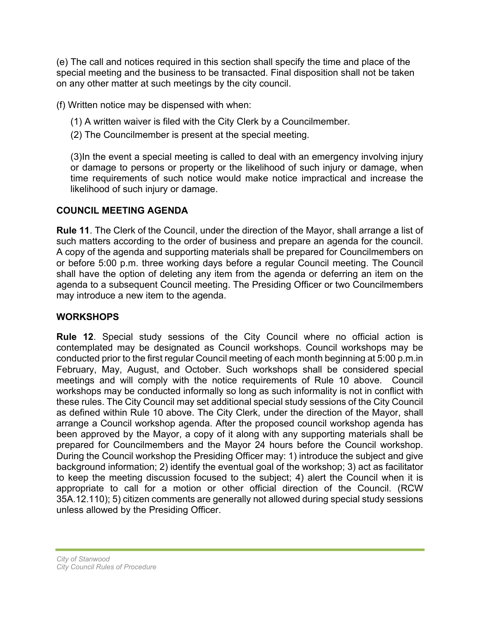(e) The call and notices required in this section shall specify the time and place of the special meeting and the business to be transacted. Final disposition shall not be taken on any other matter at such meetings by the city council.

(f) Written notice may be dispensed with when:

- (1) A written waiver is filed with the City Clerk by a Councilmember.
- (2) The Councilmember is present at the special meeting.

(3)In the event a special meeting is called to deal with an emergency involving injury or damage to persons or property or the likelihood of such injury or damage, when time requirements of such notice would make notice impractical and increase the likelihood of such injury or damage.

## **COUNCIL MEETING AGENDA**

**Rule 11**. The Clerk of the Council, under the direction of the Mayor, shall arrange a list of such matters according to the order of business and prepare an agenda for the council. A copy of the agenda and supporting materials shall be prepared for Councilmembers on or before 5:00 p.m. three working days before a regular Council meeting. The Council shall have the option of deleting any item from the agenda or deferring an item on the agenda to a subsequent Council meeting. The Presiding Officer or two Councilmembers may introduce a new item to the agenda.

## **WORKSHOPS**

**Rule 12**. Special study sessions of the City Council where no official action is contemplated may be designated as Council workshops. Council workshops may be conducted prior to the first regular Council meeting of each month beginning at 5:00 p.m.in February, May, August, and October. Such workshops shall be considered special meetings and will comply with the notice requirements of Rule 10 above. Council workshops may be conducted informally so long as such informality is not in conflict with these rules. The City Council may set additional special study sessions of the City Council as defined within Rule 10 above. The City Clerk, under the direction of the Mayor, shall arrange a Council workshop agenda. After the proposed council workshop agenda has been approved by the Mayor, a copy of it along with any supporting materials shall be prepared for Councilmembers and the Mayor 24 hours before the Council workshop. During the Council workshop the Presiding Officer may: 1) introduce the subject and give background information; 2) identify the eventual goal of the workshop; 3) act as facilitator to keep the meeting discussion focused to the subject; 4) alert the Council when it is appropriate to call for a motion or other official direction of the Council. (RCW 35A.12.110); 5) citizen comments are generally not allowed during special study sessions unless allowed by the Presiding Officer.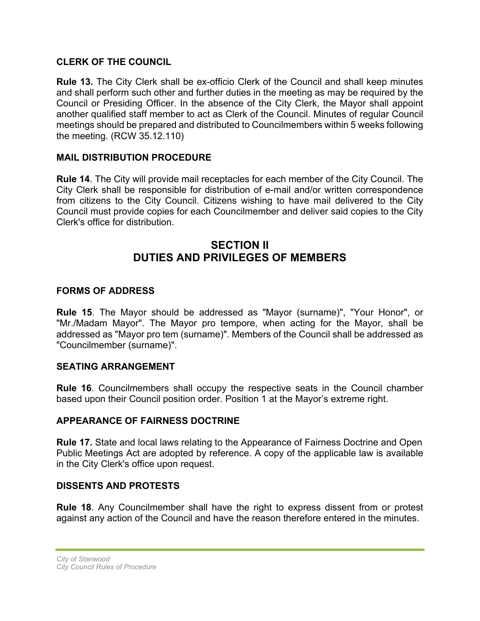#### **CLERK OF THE COUNCIL**

**Rule 13.** The City Clerk shall be ex-officio Clerk of the Council and shall keep minutes and shall perform such other and further duties in the meeting as may be required by the Council or Presiding Officer. In the absence of the City Clerk, the Mayor shall appoint another qualified staff member to act as Clerk of the Council. Minutes of regular Council meetings should be prepared and distributed to Councilmembers within 5 weeks following the meeting. (RCW 35.12.110)

#### **MAIL DISTRIBUTION PROCEDURE**

**Rule 14**. The City will provide mail receptacles for each member of the City Council. The City Clerk shall be responsible for distribution of e-mail and/or written correspondence from citizens to the City Council. Citizens wishing to have mail delivered to the City Council must provide copies for each Councilmember and deliver said copies to the City Clerk's office for distribution.

## **SECTION II DUTIES AND PRIVILEGES OF MEMBERS**

## **FORMS OF ADDRESS**

**Rule 15**. The Mayor should be addressed as "Mayor (surname)", "Your Honor", or "Mr./Madam Mayor". The Mayor pro tempore, when acting for the Mayor, shall be addressed as "Mayor pro tem (surname)". Members of the Council shall be addressed as "Councilmember (surname)".

#### **SEATING ARRANGEMENT**

**Rule 16**. Councilmembers shall occupy the respective seats in the Council chamber based upon their Council position order. Position 1 at the Mayor's extreme right.

#### **APPEARANCE OF FAIRNESS DOCTRINE**

**Rule 17.** State and local laws relating to the Appearance of Fairness Doctrine and Open Public Meetings Act are adopted by reference. A copy of the applicable law is available in the City Clerk's office upon request.

#### **DISSENTS AND PROTESTS**

**Rule 18**. Any Councilmember shall have the right to express dissent from or protest against any action of the Council and have the reason therefore entered in the minutes.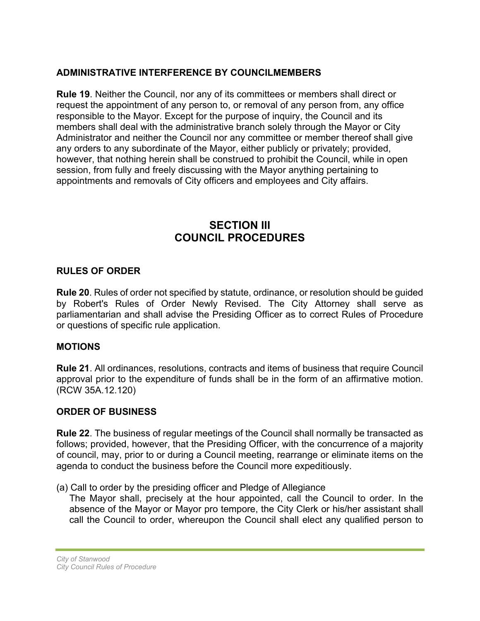## **ADMINISTRATIVE INTERFERENCE BY COUNCILMEMBERS**

**Rule 19**. Neither the Council, nor any of its committees or members shall direct or request the appointment of any person to, or removal of any person from, any office responsible to the Mayor. Except for the purpose of inquiry, the Council and its members shall deal with the administrative branch solely through the Mayor or City Administrator and neither the Council nor any committee or member thereof shall give any orders to any subordinate of the Mayor, either publicly or privately; provided, however, that nothing herein shall be construed to prohibit the Council, while in open session, from fully and freely discussing with the Mayor anything pertaining to appointments and removals of City officers and employees and City affairs.

## **SECTION III COUNCIL PROCEDURES**

#### **RULES OF ORDER**

**Rule 20**. Rules of order not specified by statute, ordinance, or resolution should be guided by Robert's Rules of Order Newly Revised. The City Attorney shall serve as parliamentarian and shall advise the Presiding Officer as to correct Rules of Procedure or questions of specific rule application.

#### **MOTIONS**

**Rule 21**. All ordinances, resolutions, contracts and items of business that require Council approval prior to the expenditure of funds shall be in the form of an affirmative motion. (RCW 35A.12.120)

## **ORDER OF BUSINESS**

**Rule 22**. The business of regular meetings of the Council shall normally be transacted as follows; provided, however, that the Presiding Officer, with the concurrence of a majority of council, may, prior to or during a Council meeting, rearrange or eliminate items on the agenda to conduct the business before the Council more expeditiously.

(a) Call to order by the presiding officer and Pledge of Allegiance

The Mayor shall, precisely at the hour appointed, call the Council to order. In the absence of the Mayor or Mayor pro tempore, the City Clerk or his/her assistant shall call the Council to order, whereupon the Council shall elect any qualified person to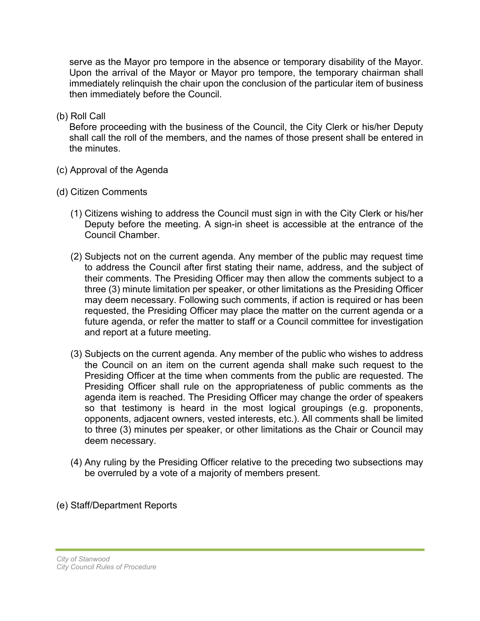serve as the Mayor pro tempore in the absence or temporary disability of the Mayor. Upon the arrival of the Mayor or Mayor pro tempore, the temporary chairman shall immediately relinquish the chair upon the conclusion of the particular item of business then immediately before the Council.

(b) Roll Call

Before proceeding with the business of the Council, the City Clerk or his/her Deputy shall call the roll of the members, and the names of those present shall be entered in the minutes.

- (c) Approval of the Agenda
- (d) Citizen Comments
	- (1) Citizens wishing to address the Council must sign in with the City Clerk or his/her Deputy before the meeting. A sign-in sheet is accessible at the entrance of the Council Chamber.
	- (2) Subjects not on the current agenda. Any member of the public may request time to address the Council after first stating their name, address, and the subject of their comments. The Presiding Officer may then allow the comments subject to a three (3) minute limitation per speaker, or other limitations as the Presiding Officer may deem necessary. Following such comments, if action is required or has been requested, the Presiding Officer may place the matter on the current agenda or a future agenda, or refer the matter to staff or a Council committee for investigation and report at a future meeting.
	- (3) Subjects on the current agenda. Any member of the public who wishes to address the Council on an item on the current agenda shall make such request to the Presiding Officer at the time when comments from the public are requested. The Presiding Officer shall rule on the appropriateness of public comments as the agenda item is reached. The Presiding Officer may change the order of speakers so that testimony is heard in the most logical groupings (e.g. proponents, opponents, adjacent owners, vested interests, etc.). All comments shall be limited to three (3) minutes per speaker, or other limitations as the Chair or Council may deem necessary.
	- (4) Any ruling by the Presiding Officer relative to the preceding two subsections may be overruled by a vote of a majority of members present.
- (e) Staff/Department Reports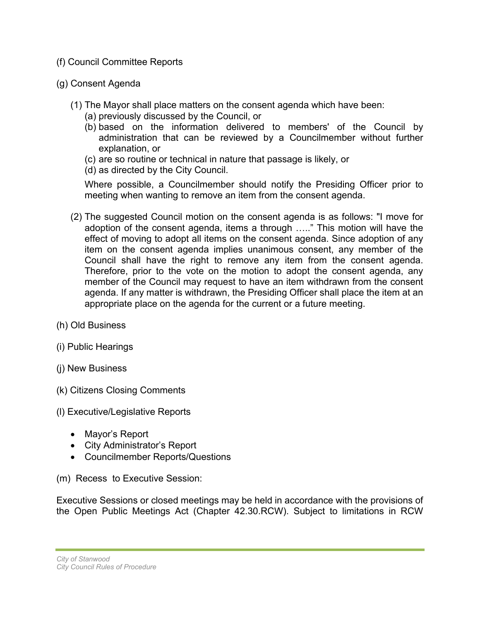- (f) Council Committee Reports
- (g) Consent Agenda
	- (1) The Mayor shall place matters on the consent agenda which have been:
		- (a) previously discussed by the Council, or
		- (b) based on the information delivered to members' of the Council by administration that can be reviewed by a Councilmember without further explanation, or
		- (c) are so routine or technical in nature that passage is likely, or
		- (d) as directed by the City Council.

Where possible, a Councilmember should notify the Presiding Officer prior to meeting when wanting to remove an item from the consent agenda.

- (2) The suggested Council motion on the consent agenda is as follows: "I move for adoption of the consent agenda, items a through ….." This motion will have the effect of moving to adopt all items on the consent agenda. Since adoption of any item on the consent agenda implies unanimous consent, any member of the Council shall have the right to remove any item from the consent agenda. Therefore, prior to the vote on the motion to adopt the consent agenda, any member of the Council may request to have an item withdrawn from the consent agenda. If any matter is withdrawn, the Presiding Officer shall place the item at an appropriate place on the agenda for the current or a future meeting.
- (h) Old Business
- (i) Public Hearings
- (j) New Business
- (k) Citizens Closing Comments
- (l) Executive/Legislative Reports
	- Mayor's Report
	- City Administrator's Report
	- Councilmember Reports/Questions
- (m) Recess to Executive Session:

Executive Sessions or closed meetings may be held in accordance with the provisions of the Open Public Meetings Act (Chapter 42.30.RCW). Subject to limitations in RCW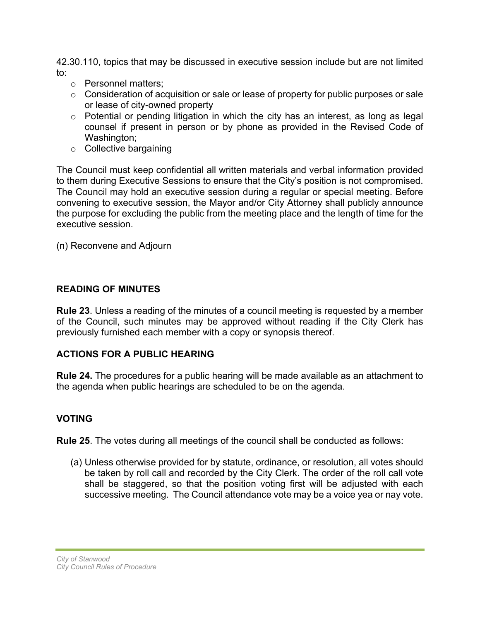42.30.110, topics that may be discussed in executive session include but are not limited to:

- o Personnel matters;
- o Consideration of acquisition or sale or lease of property for public purposes or sale or lease of city-owned property
- o Potential or pending litigation in which the city has an interest, as long as legal counsel if present in person or by phone as provided in the Revised Code of Washington;
- o Collective bargaining

The Council must keep confidential all written materials and verbal information provided to them during Executive Sessions to ensure that the City's position is not compromised. The Council may hold an executive session during a regular or special meeting. Before convening to executive session, the Mayor and/or City Attorney shall publicly announce the purpose for excluding the public from the meeting place and the length of time for the executive session.

(n) Reconvene and Adjourn

## **READING OF MINUTES**

**Rule 23**. Unless a reading of the minutes of a council meeting is requested by a member of the Council, such minutes may be approved without reading if the City Clerk has previously furnished each member with a copy or synopsis thereof.

## **ACTIONS FOR A PUBLIC HEARING**

**Rule 24.** The procedures for a public hearing will be made available as an attachment to the agenda when public hearings are scheduled to be on the agenda.

## **VOTING**

**Rule 25**. The votes during all meetings of the council shall be conducted as follows:

(a) Unless otherwise provided for by statute, ordinance, or resolution, all votes should be taken by roll call and recorded by the City Clerk. The order of the roll call vote shall be staggered, so that the position voting first will be adjusted with each successive meeting. The Council attendance vote may be a voice yea or nay vote.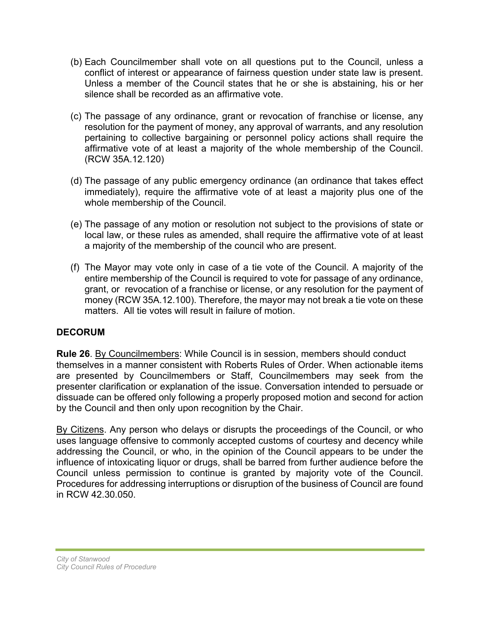- (b) Each Councilmember shall vote on all questions put to the Council, unless a conflict of interest or appearance of fairness question under state law is present. Unless a member of the Council states that he or she is abstaining, his or her silence shall be recorded as an affirmative vote.
- (c) The passage of any ordinance, grant or revocation of franchise or license, any resolution for the payment of money, any approval of warrants, and any resolution pertaining to collective bargaining or personnel policy actions shall require the affirmative vote of at least a majority of the whole membership of the Council. (RCW 35A.12.120)
- (d) The passage of any public emergency ordinance (an ordinance that takes effect immediately), require the affirmative vote of at least a majority plus one of the whole membership of the Council.
- (e) The passage of any motion or resolution not subject to the provisions of state or local law, or these rules as amended, shall require the affirmative vote of at least a majority of the membership of the council who are present.
- (f) The Mayor may vote only in case of a tie vote of the Council. A majority of the entire membership of the Council is required to vote for passage of any ordinance, grant, or revocation of a franchise or license, or any resolution for the payment of money (RCW 35A.12.100). Therefore, the mayor may not break a tie vote on these matters. All tie votes will result in failure of motion.

## **DECORUM**

**Rule 26**. By Councilmembers: While Council is in session, members should conduct themselves in a manner consistent with Roberts Rules of Order. When actionable items are presented by Councilmembers or Staff, Councilmembers may seek from the presenter clarification or explanation of the issue. Conversation intended to persuade or dissuade can be offered only following a properly proposed motion and second for action by the Council and then only upon recognition by the Chair.

By Citizens. Any person who delays or disrupts the proceedings of the Council, or who uses language offensive to commonly accepted customs of courtesy and decency while addressing the Council, or who, in the opinion of the Council appears to be under the influence of intoxicating liquor or drugs, shall be barred from further audience before the Council unless permission to continue is granted by majority vote of the Council. Procedures for addressing interruptions or disruption of the business of Council are found in RCW 42.30.050.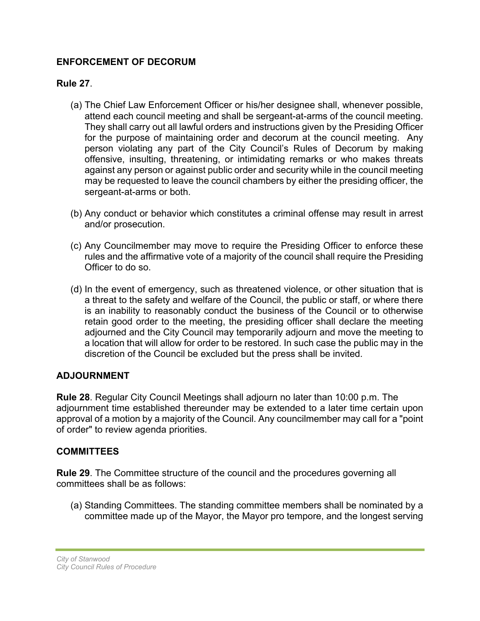## **ENFORCEMENT OF DECORUM**

## **Rule 27**.

- (a) The Chief Law Enforcement Officer or his/her designee shall, whenever possible, attend each council meeting and shall be sergeant-at-arms of the council meeting. They shall carry out all lawful orders and instructions given by the Presiding Officer for the purpose of maintaining order and decorum at the council meeting. Any person violating any part of the City Council's Rules of Decorum by making offensive, insulting, threatening, or intimidating remarks or who makes threats against any person or against public order and security while in the council meeting may be requested to leave the council chambers by either the presiding officer, the sergeant-at-arms or both.
- (b) Any conduct or behavior which constitutes a criminal offense may result in arrest and/or prosecution.
- (c) Any Councilmember may move to require the Presiding Officer to enforce these rules and the affirmative vote of a majority of the council shall require the Presiding Officer to do so.
- (d) In the event of emergency, such as threatened violence, or other situation that is a threat to the safety and welfare of the Council, the public or staff, or where there is an inability to reasonably conduct the business of the Council or to otherwise retain good order to the meeting, the presiding officer shall declare the meeting adjourned and the City Council may temporarily adjourn and move the meeting to a location that will allow for order to be restored. In such case the public may in the discretion of the Council be excluded but the press shall be invited.

## **ADJOURNMENT**

**Rule 28**. Regular City Council Meetings shall adjourn no later than 10:00 p.m. The adjournment time established thereunder may be extended to a later time certain upon approval of a motion by a majority of the Council. Any councilmember may call for a "point of order" to review agenda priorities.

#### **COMMITTEES**

**Rule 29**. The Committee structure of the council and the procedures governing all committees shall be as follows:

(a) Standing Committees. The standing committee members shall be nominated by a committee made up of the Mayor, the Mayor pro tempore, and the longest serving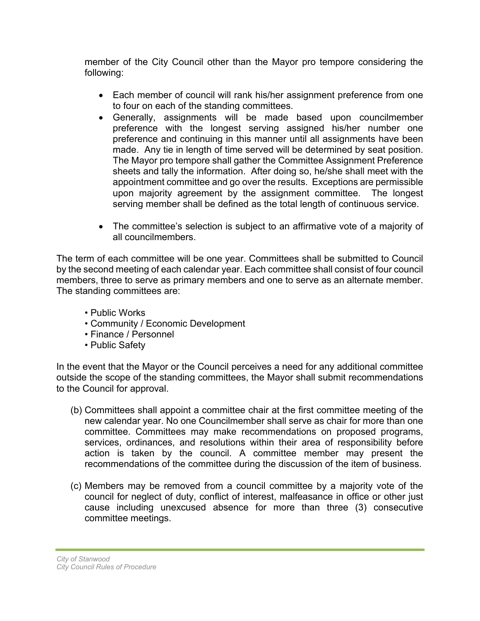member of the City Council other than the Mayor pro tempore considering the following:

- Each member of council will rank his/her assignment preference from one to four on each of the standing committees.
- Generally, assignments will be made based upon councilmember preference with the longest serving assigned his/her number one preference and continuing in this manner until all assignments have been made. Any tie in length of time served will be determined by seat position. The Mayor pro tempore shall gather the Committee Assignment Preference sheets and tally the information. After doing so, he/she shall meet with the appointment committee and go over the results. Exceptions are permissible upon majority agreement by the assignment committee. The longest serving member shall be defined as the total length of continuous service.
- The committee's selection is subject to an affirmative vote of a majority of all councilmembers.

The term of each committee will be one year. Committees shall be submitted to Council by the second meeting of each calendar year. Each committee shall consist of four council members, three to serve as primary members and one to serve as an alternate member. The standing committees are:

- Public Works
- Community / Economic Development
- Finance / Personnel
- Public Safety

In the event that the Mayor or the Council perceives a need for any additional committee outside the scope of the standing committees, the Mayor shall submit recommendations to the Council for approval.

- (b) Committees shall appoint a committee chair at the first committee meeting of the new calendar year. No one Councilmember shall serve as chair for more than one committee. Committees may make recommendations on proposed programs, services, ordinances, and resolutions within their area of responsibility before action is taken by the council. A committee member may present the recommendations of the committee during the discussion of the item of business.
- (c) Members may be removed from a council committee by a majority vote of the council for neglect of duty, conflict of interest, malfeasance in office or other just cause including unexcused absence for more than three (3) consecutive committee meetings.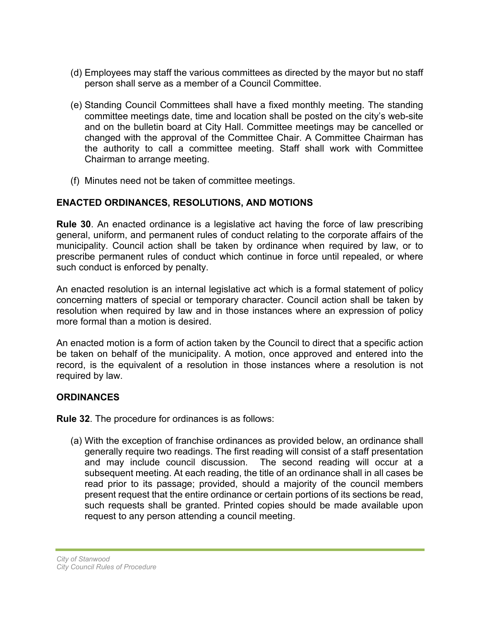- (d) Employees may staff the various committees as directed by the mayor but no staff person shall serve as a member of a Council Committee.
- (e) Standing Council Committees shall have a fixed monthly meeting. The standing committee meetings date, time and location shall be posted on the city's web-site and on the bulletin board at City Hall. Committee meetings may be cancelled or changed with the approval of the Committee Chair. A Committee Chairman has the authority to call a committee meeting. Staff shall work with Committee Chairman to arrange meeting.
- (f) Minutes need not be taken of committee meetings.

## **ENACTED ORDINANCES, RESOLUTIONS, AND MOTIONS**

**Rule 30**. An enacted ordinance is a legislative act having the force of law prescribing general, uniform, and permanent rules of conduct relating to the corporate affairs of the municipality. Council action shall be taken by ordinance when required by law, or to prescribe permanent rules of conduct which continue in force until repealed, or where such conduct is enforced by penalty.

An enacted resolution is an internal legislative act which is a formal statement of policy concerning matters of special or temporary character. Council action shall be taken by resolution when required by law and in those instances where an expression of policy more formal than a motion is desired.

An enacted motion is a form of action taken by the Council to direct that a specific action be taken on behalf of the municipality. A motion, once approved and entered into the record, is the equivalent of a resolution in those instances where a resolution is not required by law.

## **ORDINANCES**

**Rule 32**. The procedure for ordinances is as follows:

(a) With the exception of franchise ordinances as provided below, an ordinance shall generally require two readings. The first reading will consist of a staff presentation and may include council discussion. The second reading will occur at a subsequent meeting. At each reading, the title of an ordinance shall in all cases be read prior to its passage; provided, should a majority of the council members present request that the entire ordinance or certain portions of its sections be read, such requests shall be granted. Printed copies should be made available upon request to any person attending a council meeting.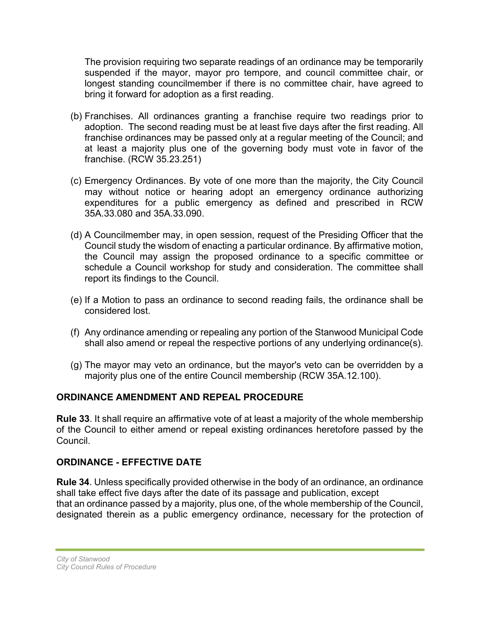The provision requiring two separate readings of an ordinance may be temporarily suspended if the mayor, mayor pro tempore, and council committee chair, or longest standing councilmember if there is no committee chair, have agreed to bring it forward for adoption as a first reading.

- (b) Franchises. All ordinances granting a franchise require two readings prior to adoption. The second reading must be at least five days after the first reading. All franchise ordinances may be passed only at a regular meeting of the Council; and at least a majority plus one of the governing body must vote in favor of the franchise. (RCW 35.23.251)
- (c) Emergency Ordinances. By vote of one more than the majority, the City Council may without notice or hearing adopt an emergency ordinance authorizing expenditures for a public emergency as defined and prescribed in RCW 35A.33.080 and 35A.33.090.
- (d) A Councilmember may, in open session, request of the Presiding Officer that the Council study the wisdom of enacting a particular ordinance. By affirmative motion, the Council may assign the proposed ordinance to a specific committee or schedule a Council workshop for study and consideration. The committee shall report its findings to the Council.
- (e) If a Motion to pass an ordinance to second reading fails, the ordinance shall be considered lost.
- (f) Any ordinance amending or repealing any portion of the Stanwood Municipal Code shall also amend or repeal the respective portions of any underlying ordinance(s).
- (g) The mayor may veto an ordinance, but the mayor's veto can be overridden by a majority plus one of the entire Council membership (RCW 35A.12.100).

## **ORDINANCE AMENDMENT AND REPEAL PROCEDURE**

**Rule 33**. It shall require an affirmative vote of at least a majority of the whole membership of the Council to either amend or repeal existing ordinances heretofore passed by the Council.

## **ORDINANCE - EFFECTIVE DATE**

**Rule 34**. Unless specifically provided otherwise in the body of an ordinance, an ordinance shall take effect five days after the date of its passage and publication, except that an ordinance passed by a majority, plus one, of the whole membership of the Council, designated therein as a public emergency ordinance, necessary for the protection of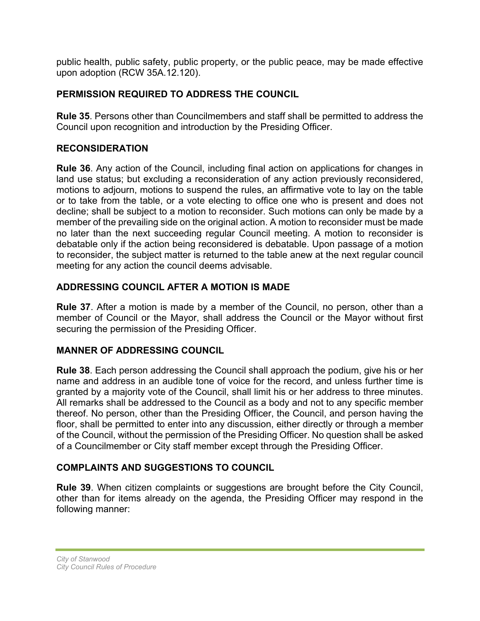public health, public safety, public property, or the public peace, may be made effective upon adoption (RCW 35A.12.120).

## **PERMISSION REQUIRED TO ADDRESS THE COUNCIL**

**Rule 35**. Persons other than Councilmembers and staff shall be permitted to address the Council upon recognition and introduction by the Presiding Officer.

## **RECONSIDERATION**

**Rule 36**. Any action of the Council, including final action on applications for changes in land use status; but excluding a reconsideration of any action previously reconsidered, motions to adjourn, motions to suspend the rules, an affirmative vote to lay on the table or to take from the table, or a vote electing to office one who is present and does not decline; shall be subject to a motion to reconsider. Such motions can only be made by a member of the prevailing side on the original action. A motion to reconsider must be made no later than the next succeeding regular Council meeting. A motion to reconsider is debatable only if the action being reconsidered is debatable. Upon passage of a motion to reconsider, the subject matter is returned to the table anew at the next regular council meeting for any action the council deems advisable.

## **ADDRESSING COUNCIL AFTER A MOTION IS MADE**

**Rule 37**. After a motion is made by a member of the Council, no person, other than a member of Council or the Mayor, shall address the Council or the Mayor without first securing the permission of the Presiding Officer.

## **MANNER OF ADDRESSING COUNCIL**

**Rule 38**. Each person addressing the Council shall approach the podium, give his or her name and address in an audible tone of voice for the record, and unless further time is granted by a majority vote of the Council, shall limit his or her address to three minutes. All remarks shall be addressed to the Council as a body and not to any specific member thereof. No person, other than the Presiding Officer, the Council, and person having the floor, shall be permitted to enter into any discussion, either directly or through a member of the Council, without the permission of the Presiding Officer. No question shall be asked of a Councilmember or City staff member except through the Presiding Officer.

## **COMPLAINTS AND SUGGESTIONS TO COUNCIL**

**Rule 39**. When citizen complaints or suggestions are brought before the City Council, other than for items already on the agenda, the Presiding Officer may respond in the following manner: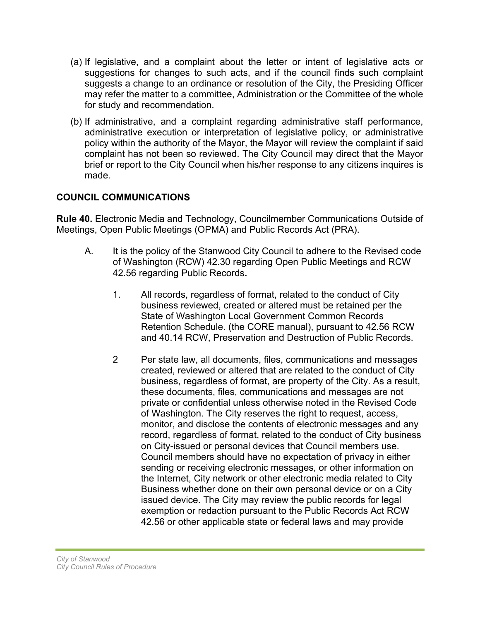- (a) If legislative, and a complaint about the letter or intent of legislative acts or suggestions for changes to such acts, and if the council finds such complaint suggests a change to an ordinance or resolution of the City, the Presiding Officer may refer the matter to a committee, Administration or the Committee of the whole for study and recommendation.
- (b) If administrative, and a complaint regarding administrative staff performance, administrative execution or interpretation of legislative policy, or administrative policy within the authority of the Mayor, the Mayor will review the complaint if said complaint has not been so reviewed. The City Council may direct that the Mayor brief or report to the City Council when his/her response to any citizens inquires is made.

## **COUNCIL COMMUNICATIONS**

**Rule 40.** Electronic Media and Technology, Councilmember Communications Outside of Meetings, Open Public Meetings (OPMA) and Public Records Act (PRA).

- A. It is the policy of the Stanwood City Council to adhere to the Revised code of Washington (RCW) 42.30 regarding Open Public Meetings and RCW 42.56 regarding Public Records**.** 
	- 1. All records, regardless of format, related to the conduct of City business reviewed, created or altered must be retained per the State of Washington Local Government Common Records Retention Schedule. (the CORE manual), pursuant to 42.56 RCW and 40.14 RCW, Preservation and Destruction of Public Records.
	- 2 Per state law, all documents, files, communications and messages created, reviewed or altered that are related to the conduct of City business, regardless of format, are property of the City. As a result, these documents, files, communications and messages are not private or confidential unless otherwise noted in the Revised Code of Washington. The City reserves the right to request, access, monitor, and disclose the contents of electronic messages and any record, regardless of format, related to the conduct of City business on City-issued or personal devices that Council members use. Council members should have no expectation of privacy in either sending or receiving electronic messages, or other information on the Internet, City network or other electronic media related to City Business whether done on their own personal device or on a City issued device. The City may review the public records for legal exemption or redaction pursuant to the Public Records Act RCW 42.56 or other applicable state or federal laws and may provide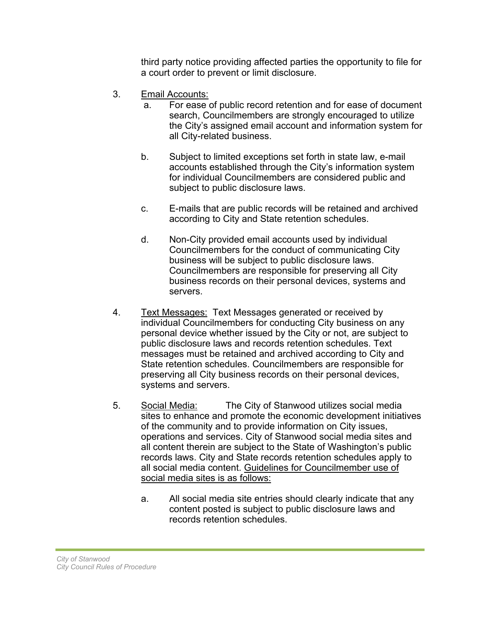third party notice providing affected parties the opportunity to file for a court order to prevent or limit disclosure.

- 3. Email Accounts:
	- a. For ease of public record retention and for ease of document search, Councilmembers are strongly encouraged to utilize the City's assigned email account and information system for all City-related business.
	- b. Subject to limited exceptions set forth in state law, e-mail accounts established through the City's information system for individual Councilmembers are considered public and subject to public disclosure laws.
	- c. E-mails that are public records will be retained and archived according to City and State retention schedules.
	- d. Non-City provided email accounts used by individual Councilmembers for the conduct of communicating City business will be subject to public disclosure laws. Councilmembers are responsible for preserving all City business records on their personal devices, systems and servers.
- 4. Text Messages: Text Messages generated or received by individual Councilmembers for conducting City business on any personal device whether issued by the City or not, are subject to public disclosure laws and records retention schedules. Text messages must be retained and archived according to City and State retention schedules. Councilmembers are responsible for preserving all City business records on their personal devices, systems and servers.
- 5. Social Media: The City of Stanwood utilizes social media sites to enhance and promote the economic development initiatives of the community and to provide information on City issues, operations and services. City of Stanwood social media sites and all content therein are subject to the State of Washington's public records laws. City and State records retention schedules apply to all social media content. Guidelines for Councilmember use of social media sites is as follows:
	- a. All social media site entries should clearly indicate that any content posted is subject to public disclosure laws and records retention schedules.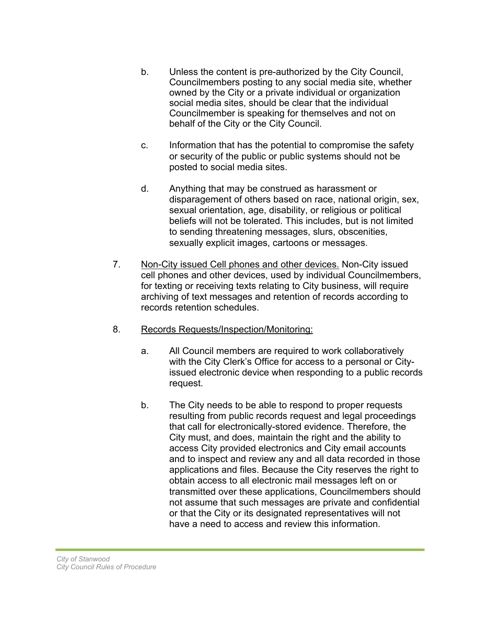- b. Unless the content is pre-authorized by the City Council, Councilmembers posting to any social media site, whether owned by the City or a private individual or organization social media sites, should be clear that the individual Councilmember is speaking for themselves and not on behalf of the City or the City Council.
- c. Information that has the potential to compromise the safety or security of the public or public systems should not be posted to social media sites.
- d. Anything that may be construed as harassment or disparagement of others based on race, national origin, sex, sexual orientation, age, disability, or religious or political beliefs will not be tolerated. This includes, but is not limited to sending threatening messages, slurs, obscenities, sexually explicit images, cartoons or messages.
- 7. Non-City issued Cell phones and other devices. Non-City issued cell phones and other devices, used by individual Councilmembers, for texting or receiving texts relating to City business, will require archiving of text messages and retention of records according to records retention schedules.
- 8. Records Requests/Inspection/Monitoring:
	- a. All Council members are required to work collaboratively with the City Clerk's Office for access to a personal or Cityissued electronic device when responding to a public records request.
	- b. The City needs to be able to respond to proper requests resulting from public records request and legal proceedings that call for electronically-stored evidence. Therefore, the City must, and does, maintain the right and the ability to access City provided electronics and City email accounts and to inspect and review any and all data recorded in those applications and files. Because the City reserves the right to obtain access to all electronic mail messages left on or transmitted over these applications, Councilmembers should not assume that such messages are private and confidential or that the City or its designated representatives will not have a need to access and review this information.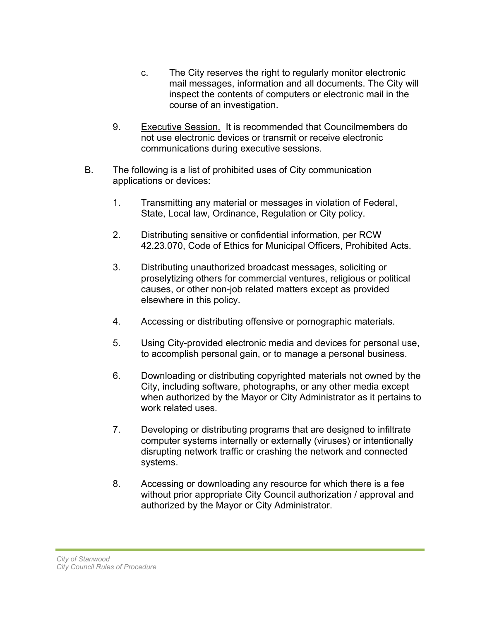- c. The City reserves the right to regularly monitor electronic mail messages, information and all documents. The City will inspect the contents of computers or electronic mail in the course of an investigation.
- 9. Executive Session. It is recommended that Councilmembers do not use electronic devices or transmit or receive electronic communications during executive sessions.
- B. The following is a list of prohibited uses of City communication applications or devices:
	- 1. Transmitting any material or messages in violation of Federal, State, Local law, Ordinance, Regulation or City policy.
	- 2. Distributing sensitive or confidential information, per RCW 42.23.070, Code of Ethics for Municipal Officers, Prohibited Acts.
	- 3. Distributing unauthorized broadcast messages, soliciting or proselytizing others for commercial ventures, religious or political causes, or other non-job related matters except as provided elsewhere in this policy.
	- 4. Accessing or distributing offensive or pornographic materials.
	- 5. Using City-provided electronic media and devices for personal use, to accomplish personal gain, or to manage a personal business.
	- 6. Downloading or distributing copyrighted materials not owned by the City, including software, photographs, or any other media except when authorized by the Mayor or City Administrator as it pertains to work related uses.
	- 7. Developing or distributing programs that are designed to infiltrate computer systems internally or externally (viruses) or intentionally disrupting network traffic or crashing the network and connected systems.
	- 8. Accessing or downloading any resource for which there is a fee without prior appropriate City Council authorization / approval and authorized by the Mayor or City Administrator.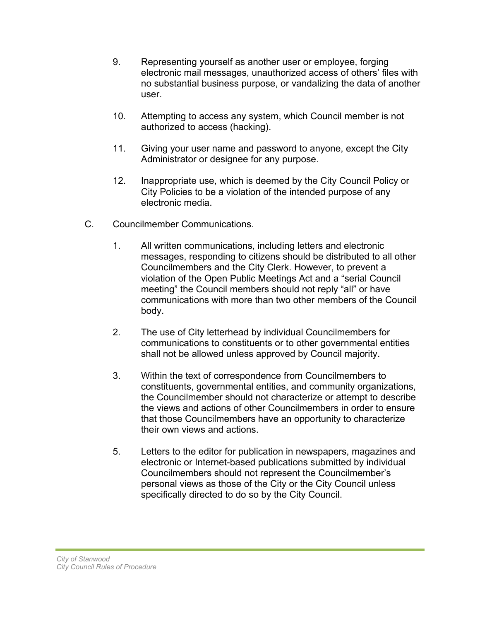- 9. Representing yourself as another user or employee, forging electronic mail messages, unauthorized access of others' files with no substantial business purpose, or vandalizing the data of another user.
- 10. Attempting to access any system, which Council member is not authorized to access (hacking).
- 11. Giving your user name and password to anyone, except the City Administrator or designee for any purpose.
- 12. Inappropriate use, which is deemed by the City Council Policy or City Policies to be a violation of the intended purpose of any electronic media.
- C. Councilmember Communications.
	- 1. All written communications, including letters and electronic messages, responding to citizens should be distributed to all other Councilmembers and the City Clerk. However, to prevent a violation of the Open Public Meetings Act and a "serial Council meeting" the Council members should not reply "all" or have communications with more than two other members of the Council body.
	- 2. The use of City letterhead by individual Councilmembers for communications to constituents or to other governmental entities shall not be allowed unless approved by Council majority.
	- 3. Within the text of correspondence from Councilmembers to constituents, governmental entities, and community organizations, the Councilmember should not characterize or attempt to describe the views and actions of other Councilmembers in order to ensure that those Councilmembers have an opportunity to characterize their own views and actions.
	- 5. Letters to the editor for publication in newspapers, magazines and electronic or Internet-based publications submitted by individual Councilmembers should not represent the Councilmember's personal views as those of the City or the City Council unless specifically directed to do so by the City Council.